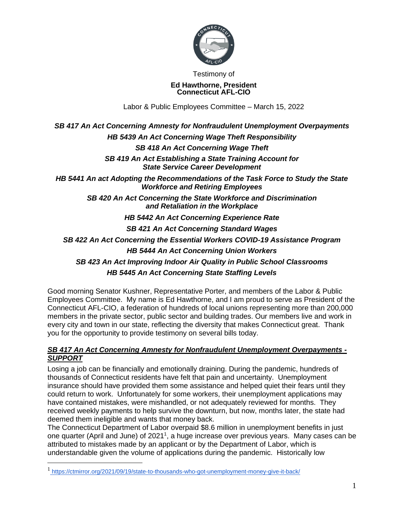

Testimony of

#### **Ed Hawthorne, President Connecticut AFL-CIO**

Labor & Public Employees Committee – March 15, 2022

# *SB 417 An Act Concerning Amnesty for Nonfraudulent Unemployment Overpayments HB 5439 An Act Concerning Wage Theft Responsibility SB 418 An Act Concerning Wage Theft SB 419 An Act Establishing a State Training Account for State Service Career Development HB 5441 An act Adopting the Recommendations of the Task Force to Study the State Workforce and Retiring Employees SB 420 An Act Concerning the State Workforce and Discrimination and Retaliation in the Workplace HB 5442 An Act Concerning Experience Rate SB 421 An Act Concerning Standard Wages SB 422 An Act Concerning the Essential Workers COVID-19 Assistance Program HB 5444 An Act Concerning Union Workers SB 423 An Act Improving Indoor Air Quality in Public School Classrooms HB 5445 An Act Concerning State Staffing Levels*

Good morning Senator Kushner, Representative Porter, and members of the Labor & Public Employees Committee. My name is Ed Hawthorne, and I am proud to serve as President of the Connecticut AFL-CIO, a federation of hundreds of local unions representing more than 200,000 members in the private sector, public sector and building trades. Our members live and work in every city and town in our state, reflecting the diversity that makes Connecticut great. Thank you for the opportunity to provide testimony on several bills today.

### *SB 417 An Act Concerning Amnesty for Nonfraudulent Unemployment Overpayments - SUPPORT*

Losing a job can be financially and emotionally draining. During the pandemic, hundreds of thousands of Connecticut residents have felt that pain and uncertainty. Unemployment insurance should have provided them some assistance and helped quiet their fears until they could return to work. Unfortunately for some workers, their unemployment applications may have contained mistakes, were mishandled, or not adequately reviewed for months. They received weekly payments to help survive the downturn, but now, months later, the state had deemed them ineligible and wants that money back.

The Connecticut Department of Labor overpaid \$8.6 million in unemployment benefits in just one quarter (April and June) of 2021<sup>1</sup>, a huge increase over previous years. Many cases can be attributed to mistakes made by an applicant or by the Department of Labor, which is understandable given the volume of applications during the pandemic. Historically low

<sup>1</sup> <https://ctmirror.org/2021/09/19/state-to-thousands-who-got-unemployment-money-give-it-back/>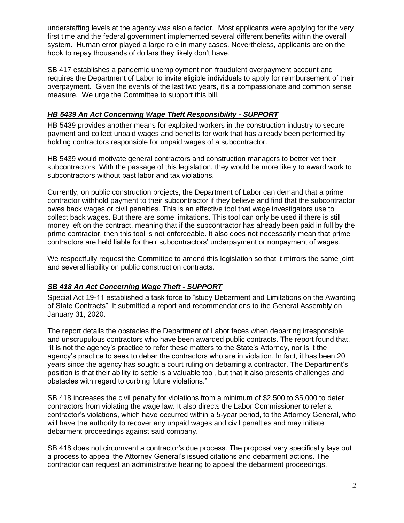understaffing levels at the agency was also a factor. Most applicants were applying for the very first time and the federal government implemented several different benefits within the overall system. Human error played a large role in many cases. Nevertheless, applicants are on the hook to repay thousands of dollars they likely don't have.

SB 417 establishes a pandemic unemployment non fraudulent overpayment account and requires the Department of Labor to invite eligible individuals to apply for reimbursement of their overpayment. Given the events of the last two years, it's a compassionate and common sense measure. We urge the Committee to support this bill.

### *HB 5439 An Act Concerning Wage Theft Responsibility - SUPPORT*

HB 5439 provides another means for exploited workers in the construction industry to secure payment and collect unpaid wages and benefits for work that has already been performed by holding contractors responsible for unpaid wages of a subcontractor.

HB 5439 would motivate general contractors and construction managers to better vet their subcontractors. With the passage of this legislation, they would be more likely to award work to subcontractors without past labor and tax violations.

Currently, on public construction projects, the Department of Labor can demand that a prime contractor withhold payment to their subcontractor if they believe and find that the subcontractor owes back wages or civil penalties. This is an effective tool that wage investigators use to collect back wages. But there are some limitations. This tool can only be used if there is still money left on the contract, meaning that if the subcontractor has already been paid in full by the prime contractor, then this tool is not enforceable. It also does not necessarily mean that prime contractors are held liable for their subcontractors' underpayment or nonpayment of wages.

We respectfully request the Committee to amend this legislation so that it mirrors the same joint and several liability on public construction contracts.

# *SB 418 An Act Concerning Wage Theft - SUPPORT*

Special Act 19-11 established a task force to "study Debarment and Limitations on the Awarding of State Contracts". It submitted a report and recommendations to the General Assembly on January 31, 2020.

The report details the obstacles the Department of Labor faces when debarring irresponsible and unscrupulous contractors who have been awarded public contracts. The report found that, "it is not the agency's practice to refer these matters to the State's Attorney, nor is it the agency's practice to seek to debar the contractors who are in violation. In fact, it has been 20 years since the agency has sought a court ruling on debarring a contractor. The Department's position is that their ability to settle is a valuable tool, but that it also presents challenges and obstacles with regard to curbing future violations."

SB 418 increases the civil penalty for violations from a minimum of \$2,500 to \$5,000 to deter contractors from violating the wage law. It also directs the Labor Commissioner to refer a contractor's violations, which have occurred within a 5-year period, to the Attorney General, who will have the authority to recover any unpaid wages and civil penalties and may initiate debarment proceedings against said company.

SB 418 does not circumvent a contractor's due process. The proposal very specifically lays out a process to appeal the Attorney General's issued citations and debarment actions. The contractor can request an administrative hearing to appeal the debarment proceedings.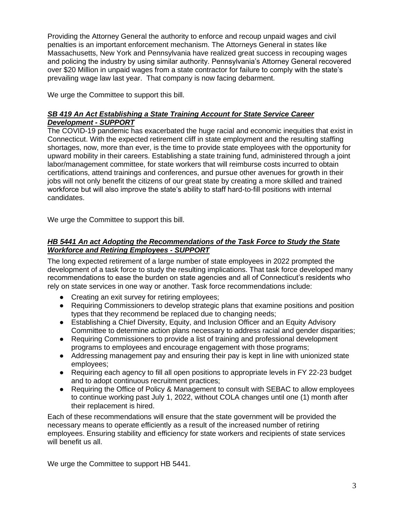Providing the Attorney General the authority to enforce and recoup unpaid wages and civil penalties is an important enforcement mechanism. The Attorneys General in states like Massachusetts, New York and Pennsylvania have realized great success in recouping wages and policing the industry by using similar authority. Pennsylvania's Attorney General recovered over \$20 Million in unpaid wages from a state contractor for failure to comply with the state's prevailing wage law last year. That company is now facing debarment.

We urge the Committee to support this bill.

### *SB 419 An Act Establishing a State Training Account for State Service Career Development - SUPPORT*

The COVID-19 pandemic has exacerbated the huge racial and economic inequities that exist in Connecticut. With the expected retirement cliff in state employment and the resulting staffing shortages, now, more than ever, is the time to provide state employees with the opportunity for upward mobility in their careers. Establishing a state training fund, administered through a joint labor/management committee, for state workers that will reimburse costs incurred to obtain certifications, attend trainings and conferences, and pursue other avenues for growth in their jobs will not only benefit the citizens of our great state by creating a more skilled and trained workforce but will also improve the state's ability to staff hard-to-fill positions with internal candidates.

We urge the Committee to support this bill.

## *HB 5441 An act Adopting the Recommendations of the Task Force to Study the State Workforce and Retiring Employees - SUPPORT*

The long expected retirement of a large number of state employees in 2022 prompted the development of a task force to study the resulting implications. That task force developed many recommendations to ease the burden on state agencies and all of Connecticut's residents who rely on state services in one way or another. Task force recommendations include:

- Creating an exit survey for retiring employees;
- Requiring Commissioners to develop strategic plans that examine positions and position types that they recommend be replaced due to changing needs;
- Establishing a Chief Diversity, Equity, and Inclusion Officer and an Equity Advisory Committee to determine action plans necessary to address racial and gender disparities;
- Requiring Commissioners to provide a list of training and professional development programs to employees and encourage engagement with those programs;
- Addressing management pay and ensuring their pay is kept in line with unionized state employees;
- Requiring each agency to fill all open positions to appropriate levels in FY 22-23 budget and to adopt continuous recruitment practices;
- Requiring the Office of Policy & Management to consult with SEBAC to allow employees to continue working past July 1, 2022, without COLA changes until one (1) month after their replacement is hired.

Each of these recommendations will ensure that the state government will be provided the necessary means to operate efficiently as a result of the increased number of retiring employees. Ensuring stability and efficiency for state workers and recipients of state services will benefit us all.

We urge the Committee to support HB 5441.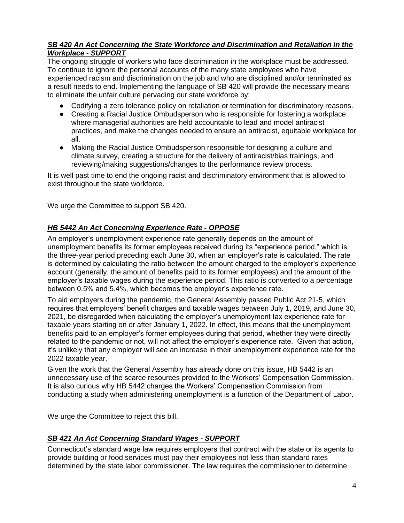### *SB 420 An Act Concerning the State Workforce and Discrimination and Retaliation in the Workplace - SUPPORT*

The ongoing struggle of workers who face discrimination in the workplace must be addressed. To continue to ignore the personal accounts of the many state employees who have experienced racism and discrimination on the job and who are disciplined and/or terminated as a result needs to end. Implementing the language of SB 420 will provide the necessary means to eliminate the unfair culture pervading our state workforce by:

- Codifying a zero tolerance policy on retaliation or termination for discriminatory reasons.
- Creating a Racial Justice Ombudsperson who is responsible for fostering a workplace where managerial authorities are held accountable to lead and model antiracist practices, and make the changes needed to ensure an antiracist, equitable workplace for all.
- Making the Racial Justice Ombudsperson responsible for designing a culture and climate survey, creating a structure for the delivery of antiracist/bias trainings, and reviewing/making suggestions/changes to the performance review process.

It is well past time to end the ongoing racist and discriminatory environment that is allowed to exist throughout the state workforce.

We urge the Committee to support SB 420.

# *HB 5442 An Act Concerning Experience Rate - OPPOSE*

An employer's unemployment experience rate generally depends on the amount of unemployment benefits its former employees received during its "experience period," which is the three-year period preceding each June 30, when an employer's rate is calculated. The rate is determined by calculating the ratio between the amount charged to the employer's experience account (generally, the amount of benefits paid to its former employees) and the amount of the employer's taxable wages during the experience period. This ratio is converted to a percentage between 0.5% and 5.4%, which becomes the employer's experience rate.

To aid employers during the pandemic, the General Assembly passed Public Act 21-5, which requires that employers' benefit charges and taxable wages between July 1, 2019, and June 30, 2021, be disregarded when calculating the employer's unemployment tax experience rate for taxable years starting on or after January 1, 2022. In effect, this means that the unemployment benefits paid to an employer's former employees during that period, whether they were directly related to the pandemic or not, will not affect the employer's experience rate. Given that action, it's unlikely that any employer will see an increase in their unemployment experience rate for the 2022 taxable year.

Given the work that the General Assembly has already done on this issue, HB 5442 is an unnecessary use of the scarce resources provided to the Workers' Compensation Commission. It is also curious why HB 5442 charges the Workers' Compensation Commission from conducting a study when administering unemployment is a function of the Department of Labor.

We urge the Committee to reject this bill.

# *SB 421 An Act Concerning Standard Wages - SUPPORT*

Connecticut's standard wage law requires employers that contract with the state or its agents to provide building or food services must pay their employees not less than standard rates determined by the state labor commissioner. The law requires the commissioner to determine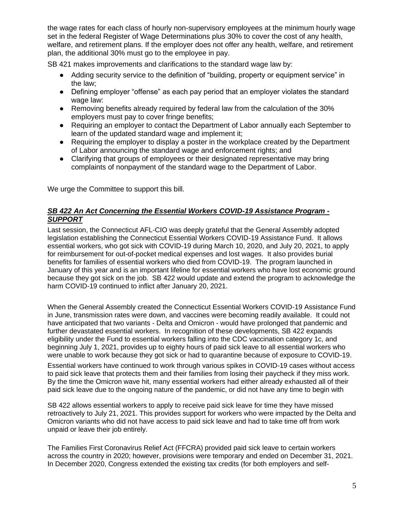the wage rates for each class of hourly non-supervisory employees at the minimum hourly wage set in the federal Register of Wage Determinations plus 30% to cover the cost of any health, welfare, and retirement plans. If the employer does not offer any health, welfare, and retirement plan, the additional 30% must go to the employee in pay.

SB 421 makes improvements and clarifications to the standard wage law by:

- Adding security service to the definition of "building, property or equipment service" in the law;
- Defining employer "offense" as each pay period that an employer violates the standard wage law:
- Removing benefits already required by federal law from the calculation of the 30% employers must pay to cover fringe benefits;
- Requiring an employer to contact the Department of Labor annually each September to learn of the updated standard wage and implement it;
- Requiring the employer to display a poster in the workplace created by the Department of Labor announcing the standard wage and enforcement rights; and
- Clarifying that groups of employees or their designated representative may bring complaints of nonpayment of the standard wage to the Department of Labor.

We urge the Committee to support this bill.

#### *SB 422 An Act Concerning the Essential Workers COVID-19 Assistance Program - SUPPORT*

Last session, the Connecticut AFL-CIO was deeply grateful that the General Assembly adopted legislation establishing the Connecticut Essential Workers COVID-19 Assistance Fund. It allows essential workers, who got sick with COVID-19 during March 10, 2020, and July 20, 2021, to apply for reimbursement for out-of-pocket medical expenses and lost wages. It also provides burial benefits for families of essential workers who died from COVID-19. The program launched in January of this year and is an important lifeline for essential workers who have lost economic ground because they got sick on the job. SB 422 would update and extend the program to acknowledge the harm COVID-19 continued to inflict after January 20, 2021.

When the General Assembly created the Connecticut Essential Workers COVID-19 Assistance Fund in June, transmission rates were down, and vaccines were becoming readily available. It could not have anticipated that two variants - Delta and Omicron - would have prolonged that pandemic and further devastated essential workers. In recognition of these developments, SB 422 expands eligibility under the Fund to essential workers falling into the CDC vaccination category 1c, and beginning July 1, 2021, provides up to eighty hours of paid sick leave to all essential workers who were unable to work because they got sick or had to quarantine because of exposure to COVID-19.

Essential workers have continued to work through various spikes in COVID-19 cases without access to paid sick leave that protects them and their families from losing their paycheck if they miss work. By the time the Omicron wave hit, many essential workers had either already exhausted all of their paid sick leave due to the ongoing nature of the pandemic, or did not have any time to begin with

SB 422 allows essential workers to apply to receive paid sick leave for time they have missed retroactively to July 21, 2021. This provides support for workers who were impacted by the Delta and Omicron variants who did not have access to paid sick leave and had to take time off from work unpaid or leave their job entirely.

The Families First Coronavirus Relief Act (FFCRA) provided paid sick leave to certain workers across the country in 2020; however, provisions were temporary and ended on December 31, 2021. In December 2020, Congress extended the existing tax credits (for both employers and self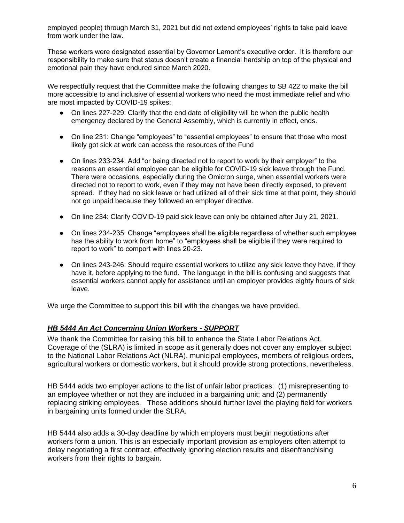employed people) through March 31, 2021 but did not extend employees' rights to take paid leave from work under the law.

These workers were designated essential by Governor Lamont's executive order. It is therefore our responsibility to make sure that status doesn't create a financial hardship on top of the physical and emotional pain they have endured since March 2020.

We respectfully request that the Committee make the following changes to SB 422 to make the bill more accessible to and inclusive of essential workers who need the most immediate relief and who are most impacted by COVID-19 spikes:

- On lines 227-229: Clarify that the end date of eligibility will be when the public health emergency declared by the General Assembly, which is currently in effect, ends.
- On line 231: Change "employees" to "essential employees" to ensure that those who most likely got sick at work can access the resources of the Fund
- On lines 233-234: Add "or being directed not to report to work by their employer" to the reasons an essential employee can be eligible for COVID-19 sick leave through the Fund. There were occasions, especially during the Omicron surge, when essential workers were directed not to report to work, even if they may not have been directly exposed, to prevent spread. If they had no sick leave or had utilized all of their sick time at that point, they should not go unpaid because they followed an employer directive.
- On line 234: Clarify COVID-19 paid sick leave can only be obtained after July 21, 2021.
- On lines 234-235: Change "employees shall be eligible regardless of whether such employee has the ability to work from home" to "employees shall be eligible if they were required to report to work" to comport with lines 20-23.
- On lines 243-246: Should require essential workers to utilize any sick leave they have, if they have it, before applying to the fund. The language in the bill is confusing and suggests that essential workers cannot apply for assistance until an employer provides eighty hours of sick leave.

We urge the Committee to support this bill with the changes we have provided.

#### *HB 5444 An Act Concerning Union Workers - SUPPORT*

We thank the Committee for raising this bill to enhance the State Labor Relations Act. Coverage of the (SLRA) is limited in scope as it generally does not cover any employer subject to the National Labor Relations Act (NLRA), municipal employees, members of religious orders, agricultural workers or domestic workers, but it should provide strong protections, nevertheless.

HB 5444 adds two employer actions to the list of unfair labor practices: (1) misrepresenting to an employee whether or not they are included in a bargaining unit; and (2) permanently replacing striking employees. These additions should further level the playing field for workers in bargaining units formed under the SLRA.

HB 5444 also adds a 30-day deadline by which employers must begin negotiations after workers form a union. This is an especially important provision as employers often attempt to delay negotiating a first contract, effectively ignoring election results and disenfranchising workers from their rights to bargain.